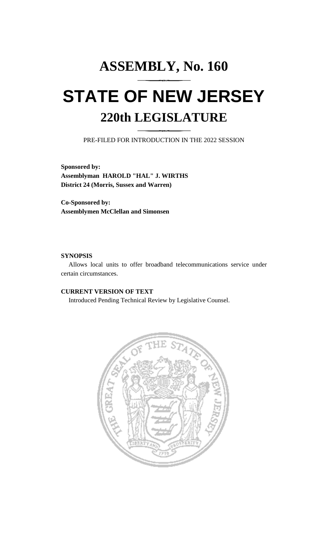# **ASSEMBLY, No. 160 STATE OF NEW JERSEY 220th LEGISLATURE**

PRE-FILED FOR INTRODUCTION IN THE 2022 SESSION

**Sponsored by: Assemblyman HAROLD "HAL" J. WIRTHS District 24 (Morris, Sussex and Warren)**

**Co-Sponsored by: Assemblymen McClellan and Simonsen**

#### **SYNOPSIS**

Allows local units to offer broadband telecommunications service under certain circumstances.

## **CURRENT VERSION OF TEXT**

Introduced Pending Technical Review by Legislative Counsel.

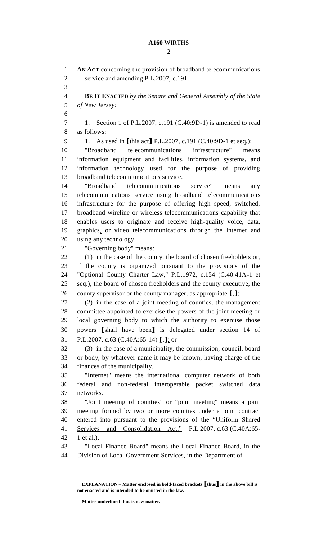### **A160** WIRTHS

 $\mathcal{D}_{\mathcal{L}}$ 

 **AN ACT** concerning the provision of broadband telecommunications service and amending P.L.2007, c.191. **BE IT ENACTED** *by the Senate and General Assembly of the State of New Jersey:* 1. Section 1 of P.L.2007, c.191 (C.40:9D-1) is amended to read as follows: 1. As used in **[**this act**]** P.L.2007, c.191 (C.40:9D-1 et seq.): "Broadband telecommunications infrastructure" means information equipment and facilities, information systems, and information technology used for the purpose of providing broadband telecommunications service. "Broadband telecommunications service" means any telecommunications service using broadband telecommunications infrastructure for the purpose of offering high speed, switched, broadband wireline or wireless telecommunications capability that enables users to originate and receive high-quality voice, data, graphics, or video telecommunications through the Internet and using any technology. "Governing body" means: (1) in the case of the county, the board of chosen freeholders or, if the county is organized pursuant to the provisions of the "Optional County Charter Law," P.L.1972, c.154 (C.40:41A-1 et seq.), the board of chosen freeholders and the county executive, the county supervisor or the county manager, as appropriate **[**,**]**; (2) in the case of a joint meeting of counties, the management committee appointed to exercise the powers of the joint meeting or local governing body to which the authority to exercise those powers **[**shall have been**]** is delegated under section 14 of P.L.2007, c.63 (C.40A:65-14) **[**,**]**; or (3) in the case of a municipality, the commission, council, board or body, by whatever name it may be known, having charge of the finances of the municipality. "Internet" means the international computer network of both federal and non-federal interoperable packet switched data networks. "Joint meeting of counties" or "joint meeting" means a joint meeting formed by two or more counties under a joint contract entered into pursuant to the provisions of the "Uniform Shared Services and Consolidation Act," P.L.2007, c.63 (C.40A:65- 1 et al.). "Local Finance Board" means the Local Finance Board, in the Division of Local Government Services, in the Department of

**Matter underlined thus is new matter.**

**EXPLANATION – Matter enclosed in bold-faced brackets [thus] in the above bill is not enacted and is intended to be omitted in the law.**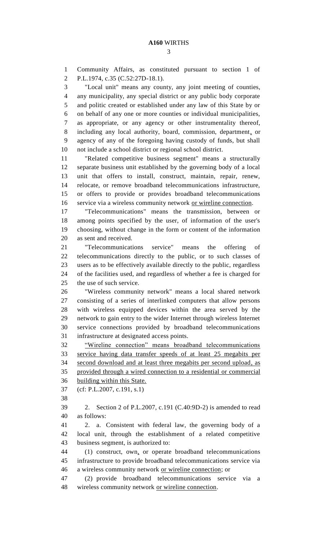Community Affairs, as constituted pursuant to section 1 of P.L.1974, c.35 (C.52:27D-18.1). "Local unit" means any county, any joint meeting of counties, any municipality, any special district or any public body corporate and politic created or established under any law of this State by or on behalf of any one or more counties or individual municipalities, as appropriate, or any agency or other instrumentality thereof, including any local authority, board, commission, department, or agency of any of the foregoing having custody of funds, but shall not include a school district or regional school district. "Related competitive business segment" means a structurally separate business unit established by the governing body of a local unit that offers to install, construct, maintain, repair, renew, relocate, or remove broadband telecommunications infrastructure, or offers to provide or provides broadband telecommunications service via a wireless community network or wireline connection. "Telecommunications" means the transmission, between or among points specified by the user, of information of the user's choosing, without change in the form or content of the information as sent and received. "Telecommunications service" means the offering of telecommunications directly to the public, or to such classes of users as to be effectively available directly to the public, regardless of the facilities used, and regardless of whether a fee is charged for the use of such service. "Wireless community network" means a local shared network consisting of a series of interlinked computers that allow persons with wireless equipped devices within the area served by the network to gain entry to the wider Internet through wireless Internet service connections provided by broadband telecommunications infrastructure at designated access points. "Wireline connection" means broadband telecommunications service having data transfer speeds of at least 25 megabits per second download and at least three megabits per second upload, as provided through a wired connection to a residential or commercial building within this State. (cf: P.L.2007, c.191, s.1) 2. Section 2 of P.L.2007, c.191 (C.40:9D-2) is amended to read as follows: 2. a. Consistent with federal law, the governing body of a local unit, through the establishment of a related competitive business segment, is authorized to: (1) construct, own, or operate broadband telecommunications infrastructure to provide broadband telecommunications service via a wireless community network or wireline connection; or (2) provide broadband telecommunications service via a wireless community network or wireline connection.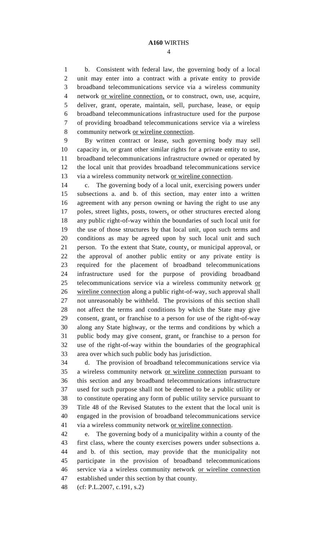b. Consistent with federal law, the governing body of a local unit may enter into a contract with a private entity to provide broadband telecommunications service via a wireless community network or wireline connection, or to construct, own, use, acquire, deliver, grant, operate, maintain, sell, purchase, lease, or equip broadband telecommunications infrastructure used for the purpose of providing broadband telecommunications service via a wireless 8 community network or wireline connection.

 By written contract or lease, such governing body may sell capacity in, or grant other similar rights for a private entity to use, broadband telecommunications infrastructure owned or operated by the local unit that provides broadband telecommunications service via a wireless community network or wireline connection.

 c. The governing body of a local unit, exercising powers under subsections a. and b. of this section, may enter into a written agreement with any person owning or having the right to use any 17 poles, street lights, posts, towers, or other structures erected along any public right-of-way within the boundaries of such local unit for the use of those structures by that local unit, upon such terms and conditions as may be agreed upon by such local unit and such person. To the extent that State, county, or municipal approval, or the approval of another public entity or any private entity is required for the placement of broadband telecommunications infrastructure used for the purpose of providing broadband telecommunications service via a wireless community network or wireline connection along a public right-of-way, such approval shall not unreasonably be withheld. The provisions of this section shall not affect the terms and conditions by which the State may give consent, grant, or franchise to a person for use of the right-of-way along any State highway, or the terms and conditions by which a public body may give consent, grant, or franchise to a person for use of the right-of-way within the boundaries of the geographical area over which such public body has jurisdiction.

 d. The provision of broadband telecommunications service via a wireless community network or wireline connection pursuant to this section and any broadband telecommunications infrastructure used for such purpose shall not be deemed to be a public utility or to constitute operating any form of public utility service pursuant to Title 48 of the Revised Statutes to the extent that the local unit is engaged in the provision of broadband telecommunications service via a wireless community network or wireline connection.

 e. The governing body of a municipality within a county of the first class, where the county exercises powers under subsections a. and b. of this section, may provide that the municipality not participate in the provision of broadband telecommunications service via a wireless community network or wireline connection established under this section by that county.

(cf: P.L.2007, c.191, s.2)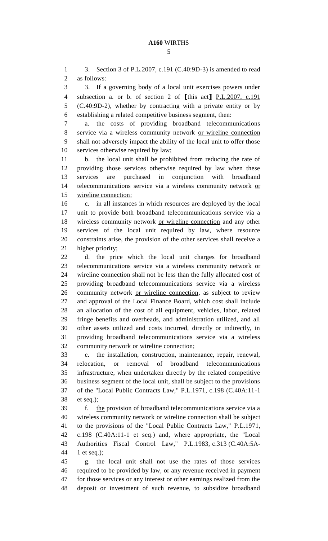3. Section 3 of P.L.2007, c.191 (C.40:9D-3) is amended to read as follows: 3. If a governing body of a local unit exercises powers under subsection a. or b. of section 2 of **[**this act**]** P.L.2007, c.191 5 (C.40:9D-2), whether by contracting with a private entity or by establishing a related competitive business segment, then: a. the costs of providing broadband telecommunications service via a wireless community network or wireline connection shall not adversely impact the ability of the local unit to offer those services otherwise required by law; b. the local unit shall be prohibited from reducing the rate of providing those services otherwise required by law when these services are purchased in conjunction with broadband 14 telecommunications service via a wireless community network or wireline connection; c. in all instances in which resources are deployed by the local unit to provide both broadband telecommunications service via a 18 wireless community network or wireline connection and any other services of the local unit required by law, where resource constraints arise, the provision of the other services shall receive a higher priority; d. the price which the local unit charges for broadband telecommunications service via a wireless community network or wireline connection shall not be less than the fully allocated cost of providing broadband telecommunications service via a wireless community network or wireline connection, as subject to review and approval of the Local Finance Board, which cost shall include an allocation of the cost of all equipment, vehicles, labor, related fringe benefits and overheads, and administration utilized, and all other assets utilized and costs incurred, directly or indirectly, in providing broadband telecommunications service via a wireless community network or wireline connection; e. the installation, construction, maintenance, repair, renewal, relocation, or removal of broadband telecommunications infrastructure, when undertaken directly by the related competitive business segment of the local unit, shall be subject to the provisions of the "Local Public Contracts Law," P.L.1971, c.198 (C.40A:11-1 et seq.); f. the provision of broadband telecommunications service via a wireless community network or wireline connection shall be subject to the provisions of the "Local Public Contracts Law," P.L.1971, c.198 (C.40A:11-1 et seq.) and, where appropriate, the "Local Authorities Fiscal Control Law," P.L.1983, c.313 (C.40A:5A- 1 et seq.); g. the local unit shall not use the rates of those services required to be provided by law, or any revenue received in payment for those services or any interest or other earnings realized from the deposit or investment of such revenue, to subsidize broadband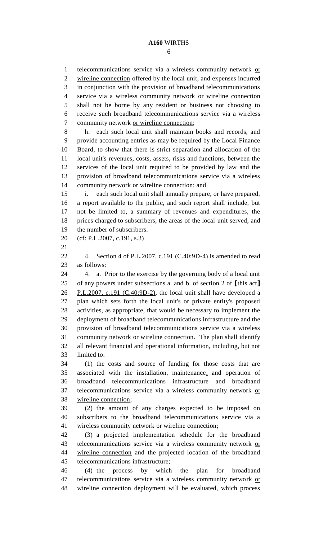1 telecommunications service via a wireless community network or wireline connection offered by the local unit, and expenses incurred in conjunction with the provision of broadband telecommunications service via a wireless community network or wireline connection shall not be borne by any resident or business not choosing to receive such broadband telecommunications service via a wireless community network or wireline connection; h. each such local unit shall maintain books and records, and provide accounting entries as may be required by the Local Finance Board, to show that there is strict separation and allocation of the local unit's revenues, costs, assets, risks and functions, between the services of the local unit required to be provided by law and the provision of broadband telecommunications service via a wireless 14 community network or wireline connection; and i. each such local unit shall annually prepare, or have prepared, a report available to the public, and such report shall include, but not be limited to, a summary of revenues and expenditures, the prices charged to subscribers, the areas of the local unit served, and the number of subscribers. (cf: P.L.2007, c.191, s.3) 4. Section 4 of P.L.2007, c.191 (C.40:9D-4) is amended to read as follows: 4. a. Prior to the exercise by the governing body of a local unit of any powers under subsections a. and b. of section 2 of **[**this act**]** P.L.2007, c.191 (C.40:9D-2), the local unit shall have developed a plan which sets forth the local unit's or private entity's proposed activities, as appropriate, that would be necessary to implement the deployment of broadband telecommunications infrastructure and the provision of broadband telecommunications service via a wireless 31 community network or wireline connection. The plan shall identify all relevant financial and operational information, including, but not limited to: (1) the costs and source of funding for those costs that are associated with the installation, maintenance, and operation of broadband telecommunications infrastructure and broadband telecommunications service via a wireless community network or wireline connection; (2) the amount of any charges expected to be imposed on subscribers to the broadband telecommunications service via a wireless community network or wireline connection; (3) a projected implementation schedule for the broadband 43 telecommunications service via a wireless community network or wireline connection and the projected location of the broadband telecommunications infrastructure; (4) the process by which the plan for broadband 47 telecommunications service via a wireless community network or wireline connection deployment will be evaluated, which process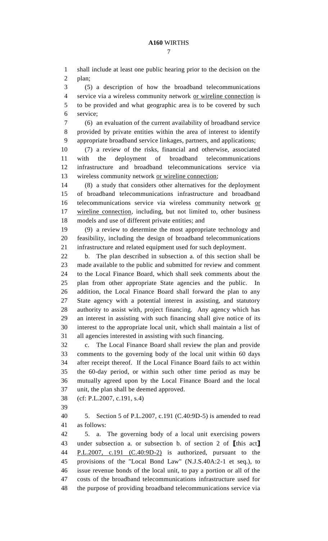shall include at least one public hearing prior to the decision on the plan;

 (5) a description of how the broadband telecommunications service via a wireless community network or wireline connection is to be provided and what geographic area is to be covered by such service;

 (6) an evaluation of the current availability of broadband service provided by private entities within the area of interest to identify appropriate broadband service linkages, partners, and applications;

 (7) a review of the risks, financial and otherwise, associated with the deployment of broadband telecommunications infrastructure and broadband telecommunications service via wireless community network or wireline connection;

 (8) a study that considers other alternatives for the deployment of broadband telecommunications infrastructure and broadband telecommunications service via wireless community network or wireline connection, including, but not limited to, other business models and use of different private entities; and

 (9) a review to determine the most appropriate technology and feasibility, including the design of broadband telecommunications infrastructure and related equipment used for such deployment.

 b. The plan described in subsection a. of this section shall be made available to the public and submitted for review and comment to the Local Finance Board, which shall seek comments about the plan from other appropriate State agencies and the public. In addition, the Local Finance Board shall forward the plan to any State agency with a potential interest in assisting, and statutory authority to assist with, project financing. Any agency which has an interest in assisting with such financing shall give notice of its interest to the appropriate local unit, which shall maintain a list of all agencies interested in assisting with such financing.

 c. The Local Finance Board shall review the plan and provide comments to the governing body of the local unit within 60 days after receipt thereof. If the Local Finance Board fails to act within the 60-day period, or within such other time period as may be mutually agreed upon by the Local Finance Board and the local unit, the plan shall be deemed approved.

(cf: P.L.2007, c.191, s.4)

 5. Section 5 of P.L.2007, c.191 (C.40:9D-5) is amended to read as follows:

 5. a. The governing body of a local unit exercising powers under subsection a. or subsection b. of section 2 of **[**this act**]** P.L.2007, c.191 (C.40:9D-2) is authorized, pursuant to the provisions of the "Local Bond Law" (N.J.S.40A:2-1 et seq.), to issue revenue bonds of the local unit, to pay a portion or all of the costs of the broadband telecommunications infrastructure used for the purpose of providing broadband telecommunications service via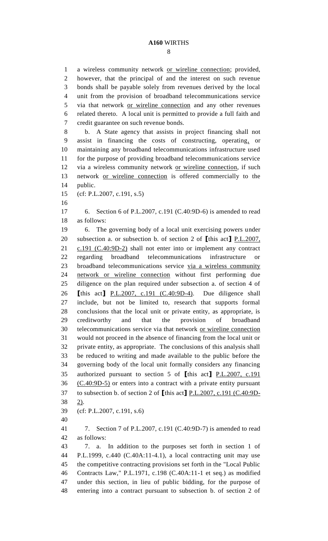a wireless community network or wireline connection; provided, however, that the principal of and the interest on such revenue bonds shall be payable solely from revenues derived by the local unit from the provision of broadband telecommunications service via that network or wireline connection and any other revenues related thereto. A local unit is permitted to provide a full faith and credit guarantee on such revenue bonds. b. A State agency that assists in project financing shall not assist in financing the costs of constructing, operating, or maintaining any broadband telecommunications infrastructure used for the purpose of providing broadband telecommunications service via a wireless community network or wireline connection, if such network or wireline connection is offered commercially to the public. (cf: P.L.2007, c.191, s.5) 6. Section 6 of P.L.2007, c.191 (C.40:9D-6) is amended to read as follows: 6. The governing body of a local unit exercising powers under subsection a. or subsection b. of section 2 of **[**this act**]** P.L.2007, c.191 (C.40:9D-2) shall not enter into or implement any contract regarding broadband telecommunications infrastructure or broadband telecommunications service via a wireless community network or wireline connection without first performing due diligence on the plan required under subsection a. of section 4 of **[**this act**]** P.L.2007, c.191 (C.40:9D-4). Due diligence shall include, but not be limited to, research that supports formal conclusions that the local unit or private entity, as appropriate, is creditworthy and that the provision of broadband telecommunications service via that network or wireline connection would not proceed in the absence of financing from the local unit or private entity, as appropriate. The conclusions of this analysis shall be reduced to writing and made available to the public before the governing body of the local unit formally considers any financing authorized pursuant to section 5 of **[**this act**]** P.L.2007, c.191 (C.40:9D-5) or enters into a contract with a private entity pursuant to subsection b. of section 2 of **[**this act**]** P.L.2007, c.191 (C.40:9D- 2). (cf: P.L.2007, c.191, s.6) 7. Section 7 of P.L.2007, c.191 (C.40:9D-7) is amended to read as follows: 7. a. In addition to the purposes set forth in section 1 of P.L.1999, c.440 (C.40A:11-4.1), a local contracting unit may use the competitive contracting provisions set forth in the "Local Public Contracts Law," P.L.1971, c.198 (C.40A:11-1 et seq.) as modified under this section, in lieu of public bidding, for the purpose of entering into a contract pursuant to subsection b. of section 2 of